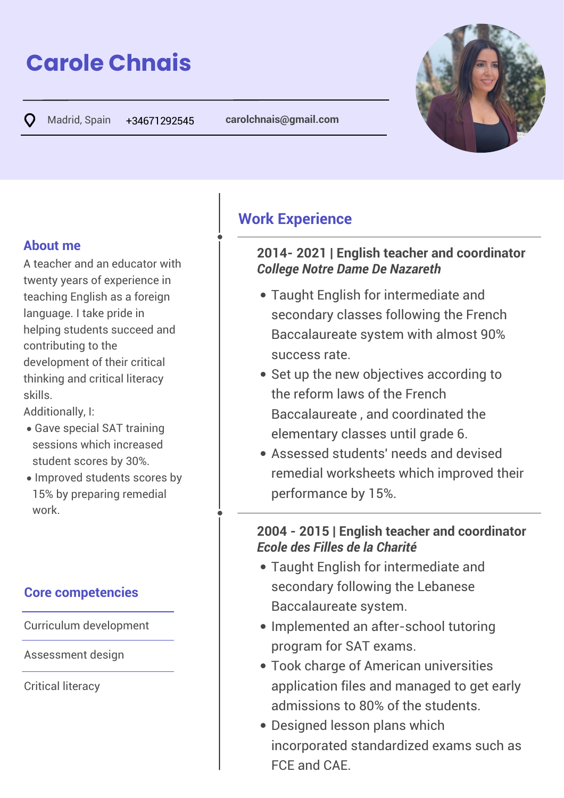# **Carole Chnais**

Madrid, Spain +34671292545 **carolchnais@gmail.com C** 



### **About me**

A teacher and an educator with twenty years of experience in teaching English as a foreign language. I take pride in helping students succeed and contributing to the development of their critical thinking and critical literacy skills.

 $\overline{\phantom{a}}$ Additionally, I:

- Gave special SAT training sessions which increased student scores by 30%.
- in 1 Improved students scores by 15% by preparing remedial work.

## **Core competencies**

Curriculum development

Assessment design

Critical literacy

## **Work Experience**

#### **2014- 2021 | English teacher and coordinator** *College Notre Dame De Nazareth*

- Taught English for intermediate and secondary classes following the French Baccalaureate system with almost 90% success rate.
- Set up the new objectives according to the reform laws of the French Baccalaureate , and coordinated the elementary classes until grade 6.
- Assessed students' needs and devised remedial worksheets which improved their performance by 15%.

#### **2004 - 2015 | English teacher and coordinator** *Ecole des Filles de la Charité*  $\overline{\phantom{a}}$

- Taught English for intermediate and secondary following the Lebanese Baccalaureate system.
- Implemented an after-school tutoring program for SAT exams.
- Took charge of American universities application files and managed to get early admissions to 80% of the students.
- Designed lesson plans which incorporated standardized exams such as FCE and CAE.